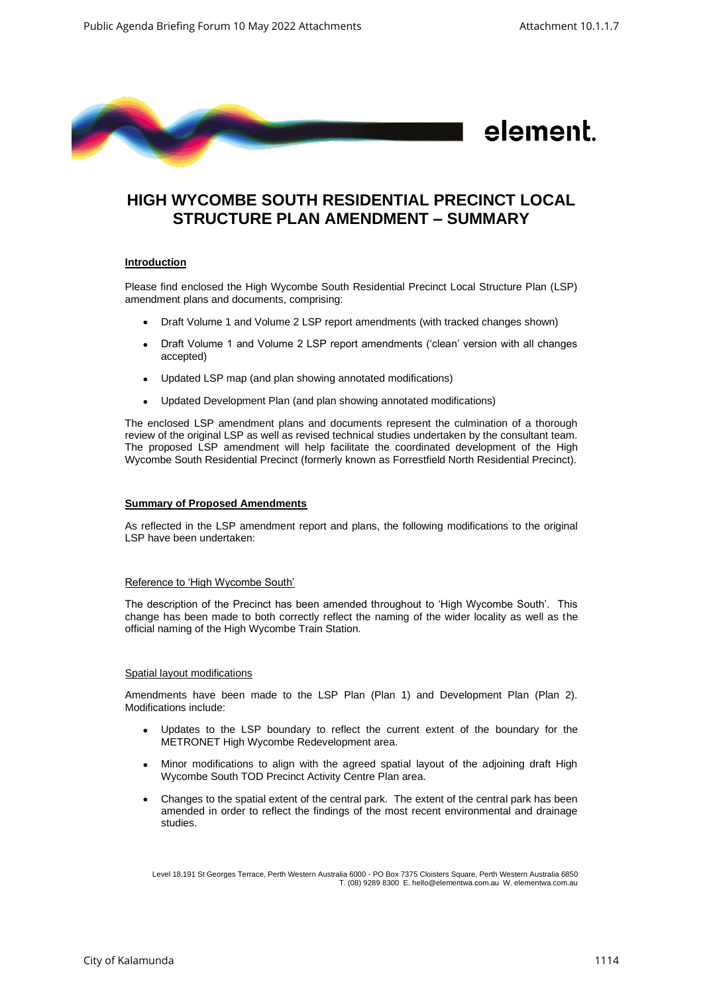

# **HIGH WYCOMBE SOUTH RESIDENTIAL PRECINCT LOCAL STRUCTURE PLAN AMENDMENT – SUMMARY**

## **Introduction**

Please find enclosed the High Wycombe South Residential Precinct Local Structure Plan (LSP) amendment plans and documents, comprising:

- Draft Volume 1 and Volume 2 LSP report amendments (with tracked changes shown)
- Draft Volume 1 and Volume 2 LSP report amendments ('clean' version with all changes accepted)
- Updated LSP map (and plan showing annotated modifications)
- Updated Development Plan (and plan showing annotated modifications)

The enclosed LSP amendment plans and documents represent the culmination of a thorough review of the original LSP as well as revised technical studies undertaken by the consultant team. The proposed LSP amendment will help facilitate the coordinated development of the High Wycombe South Residential Precinct (formerly known as Forrestfield North Residential Precinct).

## **Summary of Proposed Amendments**

As reflected in the LSP amendment report and plans, the following modifications to the original LSP have been undertaken:

## Reference to 'High Wycombe South'

The description of the Precinct has been amended throughout to 'High Wycombe South'. This change has been made to both correctly reflect the naming of the wider locality as well as the official naming of the High Wycombe Train Station.

#### Spatial layout modifications

Amendments have been made to the LSP Plan (Plan 1) and Development Plan (Plan 2). Modifications include:

- Updates to the LSP boundary to reflect the current extent of the boundary for the METRONET High Wycombe Redevelopment area.
- Minor modifications to align with the agreed spatial layout of the adjoining draft High Wycombe South TOD Precinct Activity Centre Plan area.
- Changes to the spatial extent of the central park. The extent of the central park has been amended in order to reflect the findings of the most recent environmental and drainage studies.

Level 18,191 St Georges Terrace, Perth Western Australia 6000 - PO Box 7375 Cloisters Square, Perth Western Australia 6850 T. (08) 9289 8300 E. hello@elementwa.com.au W. elementwa.com.au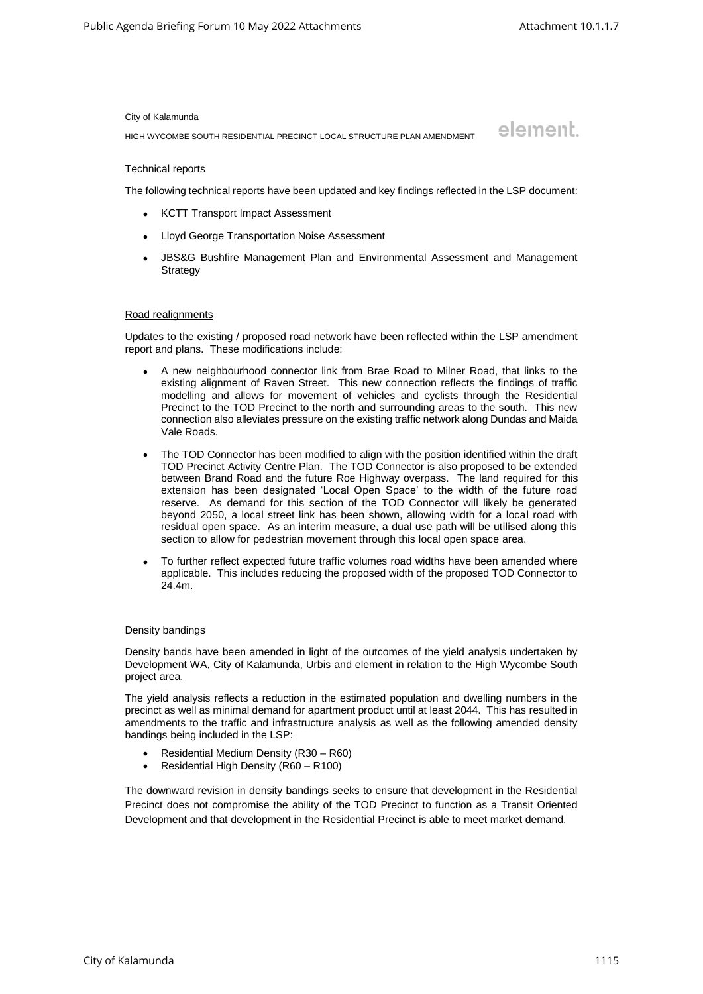element.

#### City of Kalamunda

HIGH WYCOMBE SOUTH RESIDENTIAL PRECINCT LOCAL STRUCTURE PLAN AMENDMENT

## Technical reports

The following technical reports have been updated and key findings reflected in the LSP document:

- KCTT Transport Impact Assessment
- Lloyd George Transportation Noise Assessment
- JBS&G Bushfire Management Plan and Environmental Assessment and Management **Strategy**

## Road realignments

Updates to the existing / proposed road network have been reflected within the LSP amendment report and plans. These modifications include:

- A new neighbourhood connector link from Brae Road to Milner Road, that links to the existing alignment of Raven Street. This new connection reflects the findings of traffic modelling and allows for movement of vehicles and cyclists through the Residential Precinct to the TOD Precinct to the north and surrounding areas to the south. This new connection also alleviates pressure on the existing traffic network along Dundas and Maida Vale Roads.
- The TOD Connector has been modified to align with the position identified within the draft TOD Precinct Activity Centre Plan. The TOD Connector is also proposed to be extended between Brand Road and the future Roe Highway overpass. The land required for this extension has been designated 'Local Open Space' to the width of the future road reserve. As demand for this section of the TOD Connector will likely be generated beyond 2050, a local street link has been shown, allowing width for a local road with residual open space. As an interim measure, a dual use path will be utilised along this section to allow for pedestrian movement through this local open space area.
- To further reflect expected future traffic volumes road widths have been amended where applicable. This includes reducing the proposed width of the proposed TOD Connector to 24.4m.

## Density bandings

Density bands have been amended in light of the outcomes of the yield analysis undertaken by Development WA, City of Kalamunda, Urbis and element in relation to the High Wycombe South project area.

The yield analysis reflects a reduction in the estimated population and dwelling numbers in the precinct as well as minimal demand for apartment product until at least 2044. This has resulted in amendments to the traffic and infrastructure analysis as well as the following amended density bandings being included in the LSP:

- Residential Medium Density (R30 R60)
- Residential High Density (R60 R100)

The downward revision in density bandings seeks to ensure that development in the Residential Precinct does not compromise the ability of the TOD Precinct to function as a Transit Oriented Development and that development in the Residential Precinct is able to meet market demand.